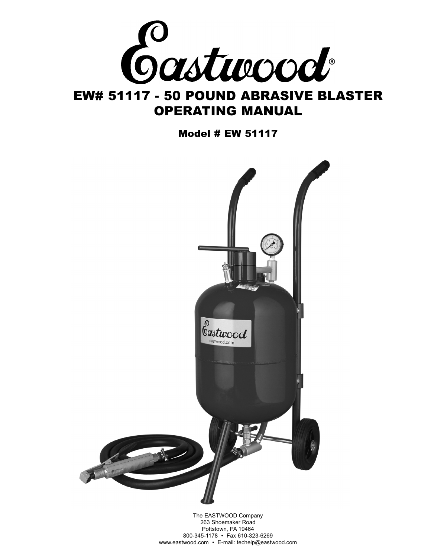

# EW# 51117 - 50 POUND ABRASIVE BLASTER OPERATING MANUAL

Model # EW 51117



The EASTWOOD Company 263 Shoemaker Road Pottstown, PA 19464 800-345-1178 • Fax 610-323-6269 www.eastwood.com • E-mail: techelp@eastwood.com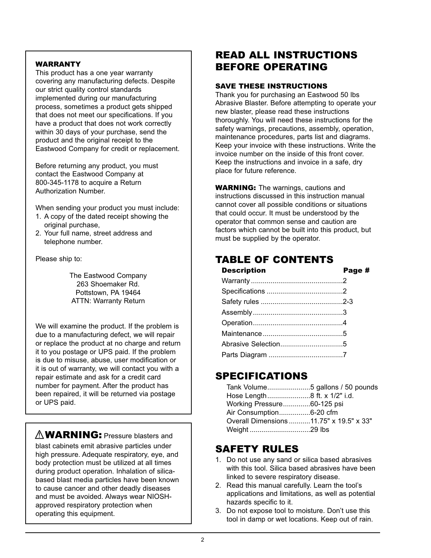### **WARRANTY**

This product has a one year warranty covering any manufacturing defects. Despite our strict quality control standards implemented during our manufacturing process, sometimes a product gets shipped that does not meet our specifications. If you have a product that does not work correctly within 30 days of your purchase, send the product and the original receipt to the Eastwood Company for credit or replacement.

Before returning any product, you must contact the Eastwood Company at 800-345-1178 to acquire a Return Authorization Number.

When sending your product you must include:

- 1. A copy of the dated receipt showing the original purchase,
- 2. Your full name, street address and telephone number.

Please ship to:

The Eastwood Company 263 Shoemaker Rd. Pottstown, PA 19464 ATTN: Warranty Return

We will examine the product. If the problem is due to a manufacturing defect, we will repair or replace the product at no charge and return it to you postage or UPS paid. If the problem is due to misuse, abuse, user modification or it is out of warranty, we will contact you with a repair estimate and ask for a credit card number for payment. After the product has been repaired, it will be returned via postage or UPS paid.

# $\mathbb{\Lambda}$  WARNING: Pressure blasters and

blast cabinets emit abrasive particles under high pressure. Adequate respiratory, eye, and body protection must be utilized at all times during product operation. Inhalation of silicabased blast media particles have been known to cause cancer and other deadly diseases and must be avoided. Always wear NIOSHapproved respiratory protection when operating this equipment.

# READ ALL INSTRUCTIONS BEFORE OPERATING

### SAVE THESE INSTRUCTIONS

Thank you for purchasing an Eastwood 50 lbs Abrasive Blaster. Before attempting to operate your new blaster, please read these instructions thoroughly. You will need these instructions for the safety warnings, precautions, assembly, operation, maintenance procedures, parts list and diagrams. Keep your invoice with these instructions. Write the invoice number on the inside of this front cover. Keep the instructions and invoice in a safe, dry place for future reference.

**WARNING:** The warnings, cautions and instructions discussed in this instruction manual cannot cover all possible conditions or situations that could occur. It must be understood by the operator that common sense and caution are factors which cannot be built into this product, but must be supplied by the operator.

# TABLE OF CONTENTS

| <b>Description</b> | Page # |
|--------------------|--------|
|                    |        |
|                    |        |
|                    |        |
|                    |        |
|                    |        |
|                    |        |
|                    |        |
|                    |        |

### SPECIFICATIONS

| Working Pressure60-125 psi              |  |
|-----------------------------------------|--|
| Air Consumption6-20 cfm                 |  |
| Overall Dimensions 11.75" x 19.5" x 33" |  |
|                                         |  |

### SAFETY RULES

- 1. Do not use any sand or silica based abrasives with this tool. Silica based abrasives have been linked to severe respiratory disease.
- 2. Read this manual carefully. Learn the tool's applications and limitations, as well as potential hazards specific to it.
- 3. Do not expose tool to moisture. Don't use this tool in damp or wet locations. Keep out of rain.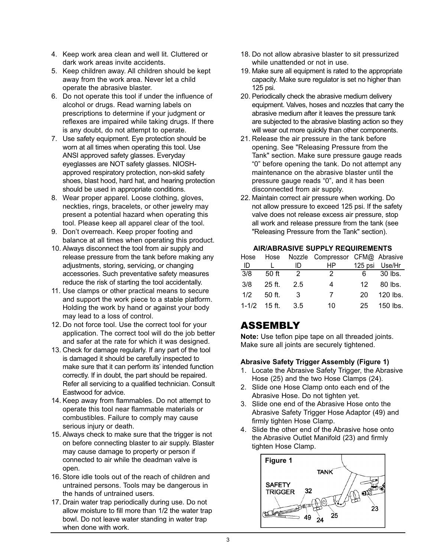- 4. Keep work area clean and well lit. Cluttered or dark work areas invite accidents.
- 5. Keep children away. All children should be kept away from the work area. Never let a child operate the abrasive blaster.
- 6. Do not operate this tool if under the influence of alcohol or drugs. Read warning labels on prescriptions to determine if your judgment or reflexes are impaired while taking drugs. If there is any doubt, do not attempt to operate.
- 7. Use safety equipment. Eye protection should be worn at all times when operating this tool. Use ANSI approved safety glasses. Everyday eyeglasses are NOT safety glasses. NIOSHapproved respiratory protection, non-skid safety shoes, blast hood, hard hat, and hearing protection should be used in appropriate conditions.
- 8. Wear proper apparel. Loose clothing, gloves, neckties, rings, bracelets, or other jewelry may present a potential hazard when operating this tool. Please keep all apparel clear of the tool.
- 9. Don't overreach. Keep proper footing and balance at all times when operating this product.
- 10. Always disconnect the tool from air supply and release pressure from the tank before making any adjustments, storing, servicing, or changing accessories. Such preventative safety measures reduce the risk of starting the tool accidentally.
- 11. Use clamps or other practical means to secure and support the work piece to a stable platform. Holding the work by hand or against your body may lead to a loss of control.
- 12. Do not force tool. Use the correct tool for your application. The correct tool will do the job better and safer at the rate for which it was designed.
- 13. Check for damage regularly. If any part of the tool is damaged it should be carefully inspected to make sure that it can perform its' intended function correctly. If in doubt, the part should be repaired. Refer all servicing to a qualified technician. Consult Eastwood for advice.
- 14. Keep away from flammables. Do not attempt to operate this tool near flammable materials or combustibles. Failure to comply may cause serious injury or death.
- 15. Always check to make sure that the trigger is not on before connecting blaster to air supply. Blaster may cause damage to property or person if connected to air while the deadman valve is open.
- 16. Store idle tools out of the reach of children and untrained persons. Tools may be dangerous in the hands of untrained users.
- 17. Drain water trap periodically during use. Do not allow moisture to fill more than 1/2 the water trap bowl. Do not leave water standing in water trap when done with work.
- 18. Do not allow abrasive blaster to sit pressurized while unattended or not in use.
- 19. Make sure all equipment is rated to the appropriate capacity. Make sure regulator is set no higher than 125 psi.
- 20. Periodically check the abrasive medium delivery equipment. Valves, hoses and nozzles that carry the abrasive medium after it leaves the pressure tank are subjected to the abrasive blasting action so they will wear out more quickly than other components.
- 21. Release the air pressure in the tank before opening. See "Releasing Pressure from the Tank" section. Make sure pressure gauge reads "0" before opening the tank. Do not attempt any maintenance on the abrasive blaster until the pressure gauge reads "0", and it has been disconnected from air supply.
- 22. Maintain correct air pressure when working. Do not allow pressure to exceed 125 psi. If the safety valve does not release excess air pressure, stop all work and release pressure from the tank (see "Releasing Pressure from the Tank" section).

### **AIR/ABRASIVE SUPPLY REQUIREMENTS**

| Hose |                  |               | Hose Nozzle Compressor CFM@ Abrasive |     |                |
|------|------------------|---------------|--------------------------------------|-----|----------------|
| ID   |                  | ID            | HP.                                  |     | 125 psi Use/Hr |
| 3/8  | 50 ft            | $\mathcal{D}$ | 2.                                   | 6.  | 30 lbs.        |
| 3/8  | $25$ ft.         | 2.5           | 4                                    | 12. | 80 lbs.        |
| 1/2  | 50 ft.           | 3             | $\overline{7}$                       | 20  | 120 lbs.       |
|      | $1 - 1/2$ 15 ft. | -3.5          | 10                                   | 25. | $150$ lbs.     |

### ASSEMBLY

**Note:** Use teflon pipe tape on all threaded joints. Make sure all joints are securely tightened.

### **Abrasive Safety Trigger Assembly (Figure 1)**

- 1. Locate the Abrasive Safety Trigger, the Abrasive Hose (25) and the two Hose Clamps (24).
- 2. Slide one Hose Clamp onto each end of the Abrasive Hose. Do not tighten yet.
- 3. Slide one end of the Abrasive Hose onto the Abrasive Safety Trigger Hose Adaptor (49) and firmly tighten Hose Clamp.
- 4. Slide the other end of the Abrasive hose onto the Abrasive Outlet Manifold (23) and firmly tighten Hose Clamp.

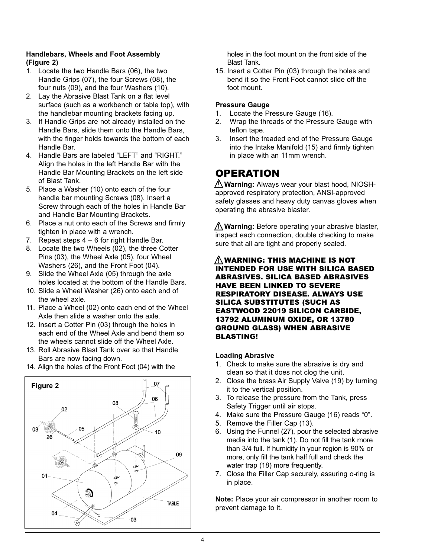### **Handlebars, Wheels and Foot Assembly (Figure 2)**

- 1. Locate the two Handle Bars (06), the two Handle Grips (07), the four Screws (08), the four nuts (09), and the four Washers (10).
- 2. Lay the Abrasive Blast Tank on a flat level surface (such as a workbench or table top), with the handlebar mounting brackets facing up.
- 3. If Handle Grips are not already installed on the Handle Bars, slide them onto the Handle Bars, with the finger holds towards the bottom of each Handle Bar.
- 4. Handle Bars are labeled "LEFT" and "RIGHT." Align the holes in the left Handle Bar with the Handle Bar Mounting Brackets on the left side of Blast Tank.
- 5. Place a Washer (10) onto each of the four handle bar mounting Screws (08). Insert a Screw through each of the holes in Handle Bar and Handle Bar Mounting Brackets.
- 6. Place a nut onto each of the Screws and firmly tighten in place with a wrench.
- 7. Repeat steps  $4 6$  for right Handle Bar.
- 8. Locate the two Wheels (02), the three Cotter Pins (03), the Wheel Axle (05), four Wheel Washers (26), and the Front Foot (04).
- 9. Slide the Wheel Axle (05) through the axle holes located at the bottom of the Handle Bars.
- 10. Slide a Wheel Washer (26) onto each end of the wheel axle.
- 11. Place a Wheel (02) onto each end of the Wheel Axle then slide a washer onto the axle.
- 12. Insert a Cotter Pin (03) through the holes in each end of the Wheel Axle and bend them so the wheels cannot slide off the Wheel Axle.
- 13. Roll Abrasive Blast Tank over so that Handle Bars are now facing down.
- 14. Align the holes of the Front Foot (04) with the



holes in the foot mount on the front side of the Blast Tank.

15. Insert a Cotter Pin (03) through the holes and bend it so the Front Foot cannot slide off the foot mount.

#### **Pressure Gauge**

- 1. Locate the Pressure Gauge (16).
- 2. Wrap the threads of the Pressure Gauge with teflon tape.
- 3. Insert the treaded end of the Pressure Gauge into the Intake Manifold (15) and firmly tighten in place with an 11mm wrench.

### **OPERATION**

**Warning:** Always wear your blast hood, NIOSH-! approved respiratory protection, ANSI-approved safety glasses and heavy duty canvas gloves when operating the abrasive blaster.

**Warning:** Before operating your abrasive blaster, ! inspect each connection, double checking to make sure that all are tight and properly sealed.

#### $\underline{\mathbb{N}}$ WARNING: THIS MACHINE IS NOT INTENDED FOR USE WITH SILICA BASED ABRASIVES. SILICA BASED ABRASIVES HAVE BEEN LINKED TO SEVERE RESPIRATORY DISEASE. ALWAYS USE SILICA SUBSTITUTES (SUCH AS EASTWOOD 22019 SILICON CARBIDE, 13792 ALUMINUM OXIDE, OR 13780 GROUND GLASS) WHEN ABRASIVE BLASTING!

### **Loading Abrasive**

- 1. Check to make sure the abrasive is dry and clean so that it does not clog the unit.
- 2. Close the brass Air Supply Valve (19) by turning it to the vertical position.
- 3. To release the pressure from the Tank, press Safety Trigger until air stops.
- 4. Make sure the Pressure Gauge (16) reads "0".
- 5. Remove the Filler Cap (13).
- 6. Using the Funnel (27), pour the selected abrasive media into the tank (1). Do not fill the tank more than 3/4 full. If humidity in your region is 90% or more, only fill the tank half full and check the water trap (18) more frequently.
- 7. Close the Filler Cap securely, assuring o-ring is in place.

**Note:** Place your air compressor in another room to prevent damage to it.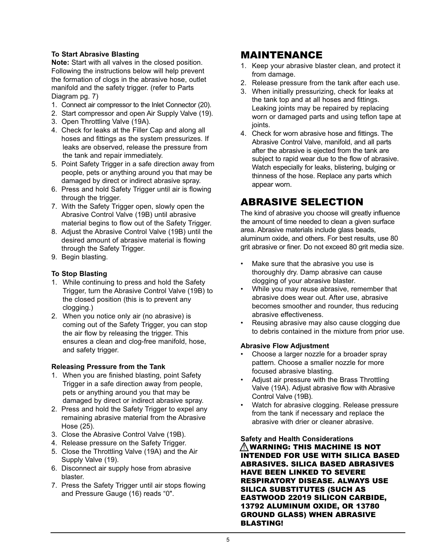### **To Start Abrasive Blasting**

**Note:** Start with all valves in the closed position. Following the instructions below will help prevent the formation of clogs in the abrasive hose, outlet manifold and the safety trigger. (refer to Parts Diagram pg. 7)

- 1. Connect air compressor to the Inlet Connector (20).
- 2. Start compressor and open Air Supply Valve (19).
- 3. Open Throttling Valve (19A).
- 4. Check for leaks at the Filler Cap and along all hoses and fittings as the system pressurizes. If leaks are observed, release the pressure from the tank and repair immediately.
- 5. Point Safety Trigger in a safe direction away from people, pets or anything around you that may be damaged by direct or indirect abrasive spray.
- 6. Press and hold Safety Trigger until air is flowing through the trigger.
- 7. With the Safety Trigger open, slowly open the Abrasive Control Valve (19B) until abrasive material begins to flow out of the Safety Trigger.
- 8. Adjust the Abrasive Control Valve (19B) until the desired amount of abrasive material is flowing through the Safety Trigger.
- 9. Begin blasting.

### **To Stop Blasting**

- 1. While continuing to press and hold the Safety Trigger, turn the Abrasive Control Valve (19B) to the closed position (this is to prevent any clogging.)
- 2. When you notice only air (no abrasive) is coming out of the Safety Trigger, you can stop the air flow by releasing the trigger. This ensures a clean and clog-free manifold, hose, and safety trigger.

### **Releasing Pressure from the Tank**

- 1. When you are finished blasting, point Safety Trigger in a safe direction away from people, pets or anything around you that may be damaged by direct or indirect abrasive spray.
- 2. Press and hold the Safety Trigger to expel any remaining abrasive material from the Abrasive Hose (25).
- 3. Close the Abrasive Control Valve (19B).
- 4. Release pressure on the Safety Trigger.
- 5. Close the Throttling Valve (19A) and the Air Supply Valve (19).
- 6. Disconnect air supply hose from abrasive blaster.
- 7. Press the Safety Trigger until air stops flowing and Pressure Gauge (16) reads "0".

### MAINTENANCE

- 1. Keep your abrasive blaster clean, and protect it from damage.
- 2. Release pressure from the tank after each use.
- 3. When initially pressurizing, check for leaks at the tank top and at all hoses and fittings. Leaking joints may be repaired by replacing worn or damaged parts and using teflon tape at joints.
- 4. Check for worn abrasive hose and fittings. The Abrasive Control Valve, manifold, and all parts after the abrasive is ejected from the tank are subject to rapid wear due to the flow of abrasive. Watch especially for leaks, blistering, bulging or thinness of the hose. Replace any parts which appear worn.

# ABRASIVE SELECTION

The kind of abrasive you choose will greatly influence the amount of time needed to clean a given surface area. Abrasive materials include glass beads, aluminum oxide, and others. For best results, use 80 grit abrasive or finer. Do not exceed 80 grit media size.

- Make sure that the abrasive you use is thoroughly dry. Damp abrasive can cause clogging of your abrasive blaster.
- While you may reuse abrasive, remember that abrasive does wear out. After use, abrasive becomes smoother and rounder, thus reducing abrasive effectiveness.
- Reusing abrasive may also cause clogging due to debris contained in the mixture from prior use.

#### **Abrasive Flow Adjustment**

- Choose a larger nozzle for a broader spray pattern. Choose a smaller nozzle for more focused abrasive blasting.
- Adjust air pressure with the Brass Throttling Valve (19A). Adjust abrasive flow with Abrasive Control Valve (19B).
- Watch for abrasive clogging. Release pressure from the tank if necessary and replace the abrasive with drier or cleaner abrasive.

**Safety and Health Considerations**  $\underline{\wedge}$ WARNING: THIS MACHINE IS NOT INTENDED FOR USE WITH SILICA BASED ABRASIVES. SILICA BASED ABRASIVES HAVE BEEN LINKED TO SEVERE RESPIRATORY DISEASE. ALWAYS USE SILICA SUBSTITUTES (SUCH AS EASTWOOD 22019 SILICON CARBIDE, 13792 ALUMINUM OXIDE, OR 13780 GROUND GLASS) WHEN ABRASIVE BLASTING!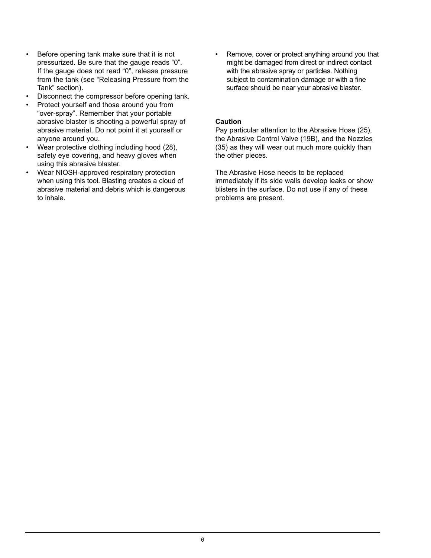- Before opening tank make sure that it is not pressurized. Be sure that the gauge reads "0". If the gauge does not read "0", release pressure from the tank (see "Releasing Pressure from the Tank" section).
- Disconnect the compressor before opening tank.
- Protect yourself and those around you from "over-spray". Remember that your portable abrasive blaster is shooting a powerful spray of abrasive material. Do not point it at yourself or anyone around you.
- Wear protective clothing including hood (28), safety eye covering, and heavy gloves when using this abrasive blaster.
- Wear NIOSH-approved respiratory protection when using this tool. Blasting creates a cloud of abrasive material and debris which is dangerous to inhale.

• Remove, cover or protect anything around you that might be damaged from direct or indirect contact with the abrasive spray or particles. Nothing subject to contamination damage or with a fine surface should be near your abrasive blaster.

#### **Caution**

Pay particular attention to the Abrasive Hose (25), the Abrasive Control Valve (19B), and the Nozzles (35) as they will wear out much more quickly than the other pieces.

The Abrasive Hose needs to be replaced immediately if its side walls develop leaks or show blisters in the surface. Do not use if any of these problems are present.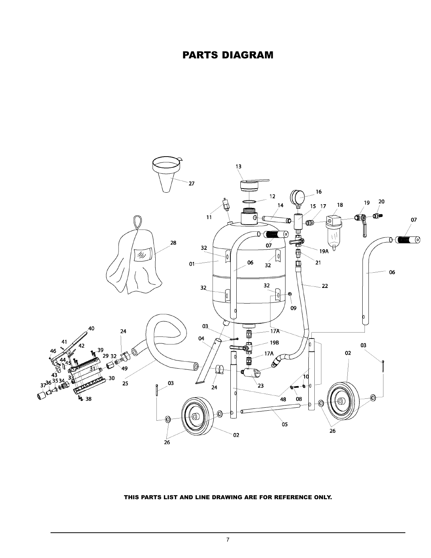### PARTS DIAGRAM



#### THIS PARTS LIST AND LINE DRAWING ARE FOR REFERENCE ONLY.